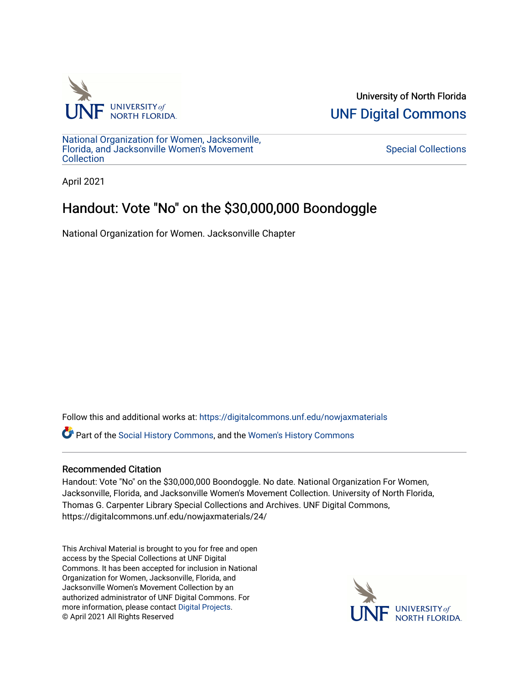

University of North Florida [UNF Digital Commons](https://digitalcommons.unf.edu/) 

[National Organization for Women, Jacksonville,](https://digitalcommons.unf.edu/nowjaxmaterials) [Florida, and Jacksonville Women's Movement](https://digitalcommons.unf.edu/nowjaxmaterials) **Collection** 

[Special Collections](https://digitalcommons.unf.edu/special_collections) 

April 2021

## Handout: Vote "No" on the \$30,000,000 Boondoggle

National Organization for Women. Jacksonville Chapter

Follow this and additional works at: [https://digitalcommons.unf.edu/nowjaxmaterials](https://digitalcommons.unf.edu/nowjaxmaterials?utm_source=digitalcommons.unf.edu%2Fnowjaxmaterials%2F24&utm_medium=PDF&utm_campaign=PDFCoverPages) 

Part of the [Social History Commons](http://network.bepress.com/hgg/discipline/506?utm_source=digitalcommons.unf.edu%2Fnowjaxmaterials%2F24&utm_medium=PDF&utm_campaign=PDFCoverPages), and the [Women's History Commons](http://network.bepress.com/hgg/discipline/507?utm_source=digitalcommons.unf.edu%2Fnowjaxmaterials%2F24&utm_medium=PDF&utm_campaign=PDFCoverPages)

## Recommended Citation

Handout: Vote "No" on the \$30,000,000 Boondoggle. No date. National Organization For Women, Jacksonville, Florida, and Jacksonville Women's Movement Collection. University of North Florida, Thomas G. Carpenter Library Special Collections and Archives. UNF Digital Commons, https://digitalcommons.unf.edu/nowjaxmaterials/24/

This Archival Material is brought to you for free and open access by the Special Collections at UNF Digital Commons. It has been accepted for inclusion in National Organization for Women, Jacksonville, Florida, and Jacksonville Women's Movement Collection by an authorized administrator of UNF Digital Commons. For more information, please contact [Digital Projects](mailto:lib-digital@unf.edu). © April 2021 All Rights Reserved

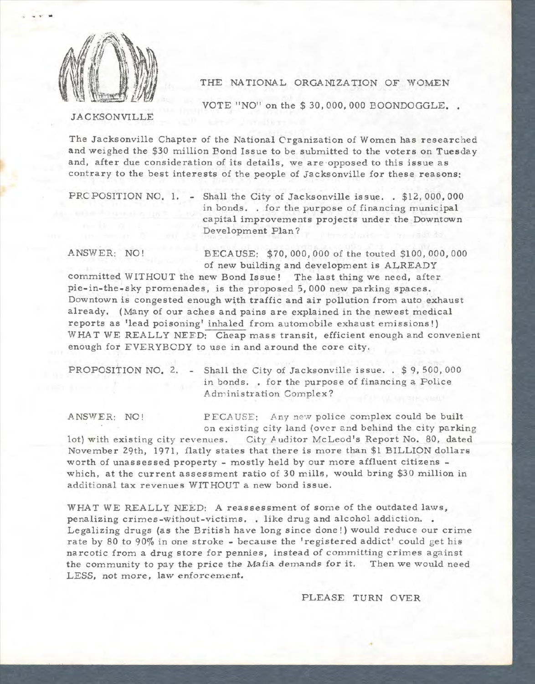

THE NATIONAL ORGANIZATION OF WOMEN

VOTE "NO" on the \$30,000,000 BOONDOGGLE.

JACKSONVILLE

The Jacksonville Chapter of the National Crganization of Women has researched and weighed the \$30 million Bond Issue to be submitted to the voters on Tuesday and, after due consideration of its details, we are opposed to this issue as contrary to the best interests of the people of Jacksonville for these reasons:

PRC POSITION NO. 1. - Shall the City of Jacksonville issue. . \$12,000,000 in bonds. . for the purpose of financing municipal capital improvements projects under the Downtown Development Plan?

ANSWER: NO! BECAUSE: \$70,000,000 of the touted \$100,000,000 of new building and development is ALREADY

committed WITHOUT the new Bond Issue! The last thing we need, after pie-in-the-sky promenades, is the proposed 5,000 new parking spaces. Downtown is congested enough with traffic and air pollution from auto exhaust already. (Many of our aches and pains are explained in the newest medical reports as 'lead poisoning' inhaled from automobile exhaust emissions!) WHAT WE REALLY NEED: Cheap mass transit, efficient enough and convenient enough for EVERYBODY to use in and around the core city.

PROPOSITION NO. 2. - Shall the City of Jacksonville issue. . \$9,500,000 in bonds. . for the purpose of financing a Police Administration Complex?

ANSWER: NO! BECAUSE: Any new police complex could be built on existing city land (over and behind the city parking

lot) with existing city revenues. City Auditor McLeod's Report No. 80, dated November 29th, 1971, flatly states that there is more than \$1 BILLION dollars worth of unas ses sed property - mostly held by our more affluent citizens which, at the current assessment ratio of 30 mills, would bring \$30 million in additional tax revenues WITHOUT a new bond issue.

WHAT WE REALLY NEED: A reassessment of some of the outdated laws, penalizing crimes-without-victims. . like drug and alcohol addiction. . Legalizing drugs (as the British have long since done!) would reduce our crime rate by 80 to 90% in one stroke - because the 'registered addict' could get his narcotic from a drug store for pennies, instead of committing crimes against the community to pay the price the Mafia demands for it. Then we would need LESS, not more, law enforcement.

PLEASE TURN OVER